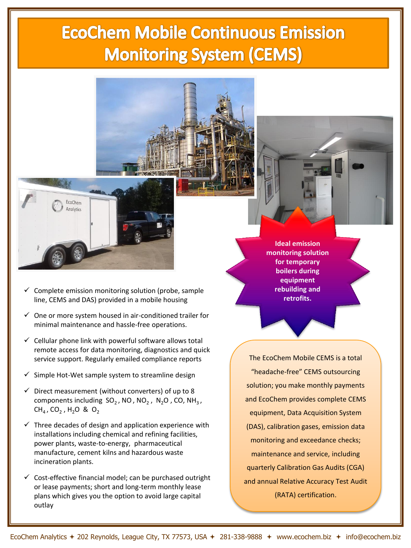## **EcoChem Mobile Continuous Emission Monitoring System (CEMS)**



- Complete emission monitoring solution (probe, sample line, CEMS and DAS) provided in a mobile housing
- $\checkmark$  One or more system housed in air-conditioned trailer for minimal maintenance and hassle-free operations.
- $\checkmark$  Cellular phone link with powerful software allows total remote access for data monitoring, diagnostics and quick service support. Regularly emailed compliance reports
- Simple Hot-Wet sample system to streamline design
- $\checkmark$  Direct measurement (without converters) of up to 8 components including  $SO_2$ , NO, NO<sub>2</sub>, N<sub>2</sub>O, CO, NH<sub>3</sub>,  $CH_4$ , CO<sub>2</sub>, H<sub>2</sub>O & O<sub>2</sub>
- $\checkmark$  Three decades of design and application experience with installations including chemical and refining facilities, power plants, waste-to-energy, pharmaceutical manufacture, cement kilns and hazardous waste incineration plants.
- $\checkmark$  Cost-effective financial model; can be purchased outright or lease payments; short and long-term monthly lease plans which gives you the option to avoid large capital outlay

**Ideal emission monitoring solution for temporary boilers during equipment rebuilding and retrofits.** 

The EcoChem Mobile CEMS is a total "headache-free" CEMS outsourcing solution; you make monthly payments and EcoChem provides complete CEMS equipment, Data Acquisition System (DAS), calibration gases, emission data monitoring and exceedance checks; maintenance and service, including quarterly Calibration Gas Audits (CGA) and annual Relative Accuracy Test Audit (RATA) certification.